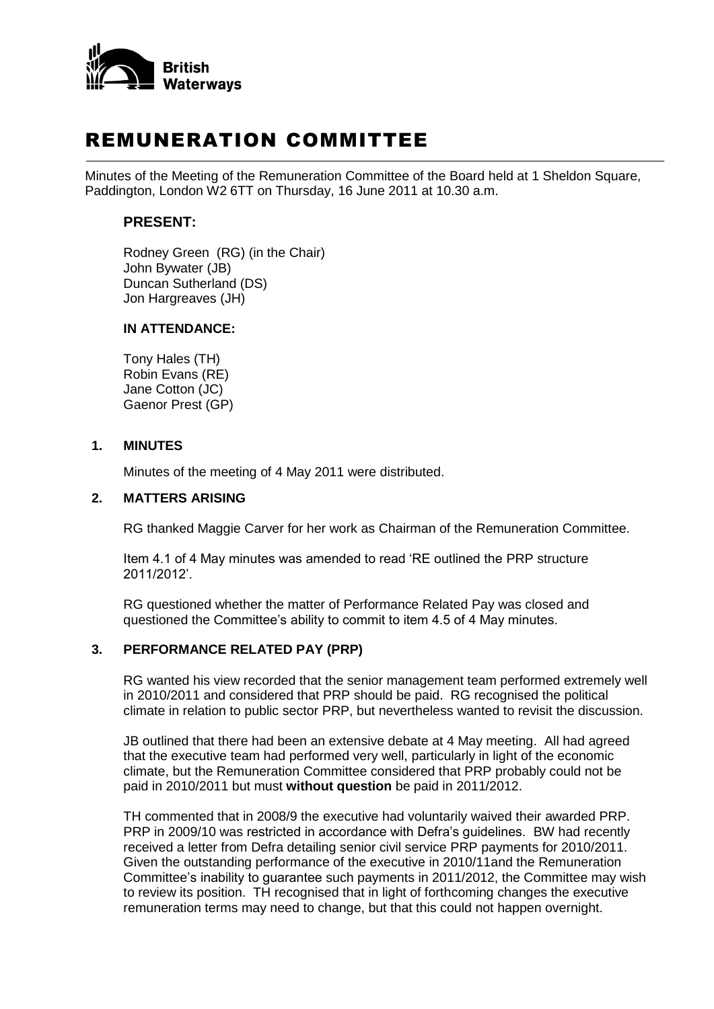

# REMUNERATION COMMITTEE

Minutes of the Meeting of the Remuneration Committee of the Board held at 1 Sheldon Square, Paddington, London W2 6TT on Thursday, 16 June 2011 at 10.30 a.m.

## **PRESENT:**

Rodney Green (RG) (in the Chair) John Bywater (JB) Duncan Sutherland (DS) Jon Hargreaves (JH)

#### **IN ATTENDANCE:**

Tony Hales (TH) Robin Evans (RE) Jane Cotton (JC) Gaenor Prest (GP)

#### **1. MINUTES**

Minutes of the meeting of 4 May 2011 were distributed.

#### **2. MATTERS ARISING**

RG thanked Maggie Carver for her work as Chairman of the Remuneration Committee.

Item 4.1 of 4 May minutes was amended to read 'RE outlined the PRP structure 2011/2012'.

RG questioned whether the matter of Performance Related Pay was closed and questioned the Committee's ability to commit to item 4.5 of 4 May minutes.

# **3. PERFORMANCE RELATED PAY (PRP)**

RG wanted his view recorded that the senior management team performed extremely well in 2010/2011 and considered that PRP should be paid. RG recognised the political climate in relation to public sector PRP, but nevertheless wanted to revisit the discussion.

JB outlined that there had been an extensive debate at 4 May meeting. All had agreed that the executive team had performed very well, particularly in light of the economic climate, but the Remuneration Committee considered that PRP probably could not be paid in 2010/2011 but must **without question** be paid in 2011/2012.

TH commented that in 2008/9 the executive had voluntarily waived their awarded PRP. PRP in 2009/10 was restricted in accordance with Defra's guidelines. BW had recently received a letter from Defra detailing senior civil service PRP payments for 2010/2011. Given the outstanding performance of the executive in 2010/11and the Remuneration Committee's inability to guarantee such payments in 2011/2012, the Committee may wish to review its position. TH recognised that in light of forthcoming changes the executive remuneration terms may need to change, but that this could not happen overnight.